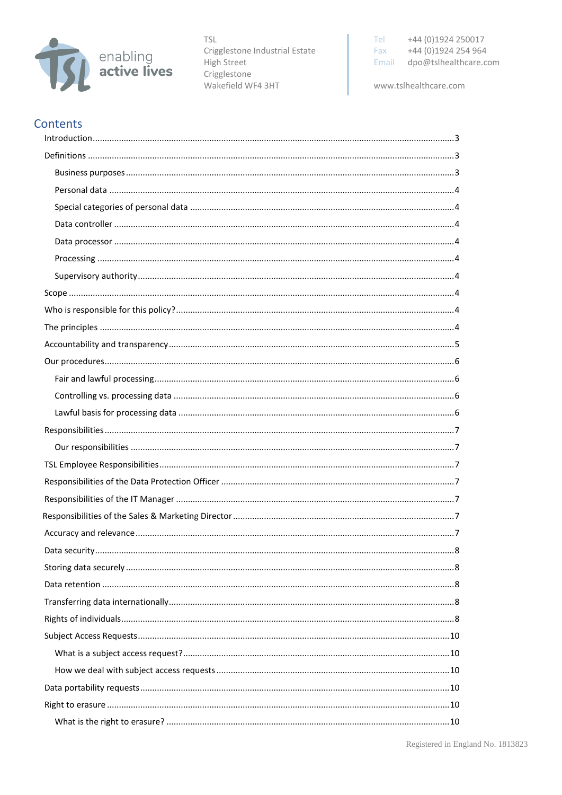

**TSL** Crigglestone Industrial Estate High Street Crigglestone Wakefield WF4 3HT

Tel +44 (0)1924 250017 +44 (0)1924 254 964 Fax Email dpo@tslhealthcare.com

www.tslhealthcare.com

## **Contents**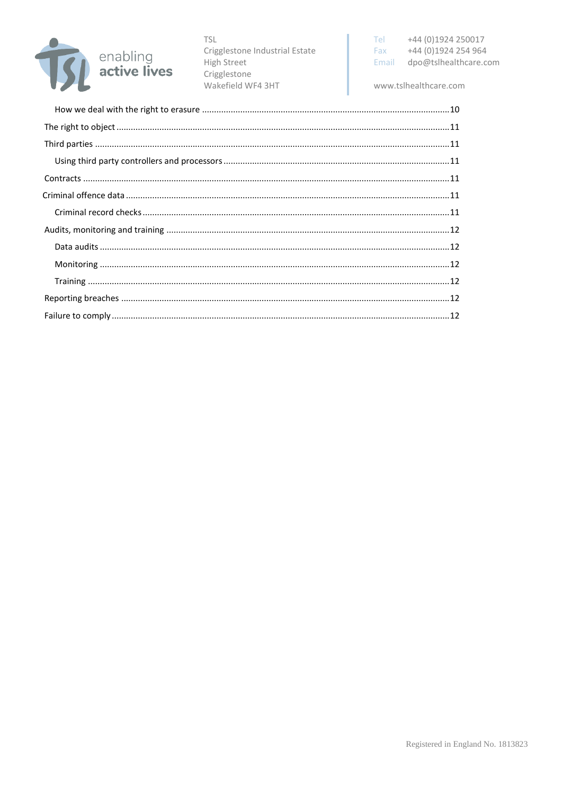

**TSL** Crigglestone Industrial Estate High Street Crigglestone Wakefield WF4 3HT

www.tslhealthcare.com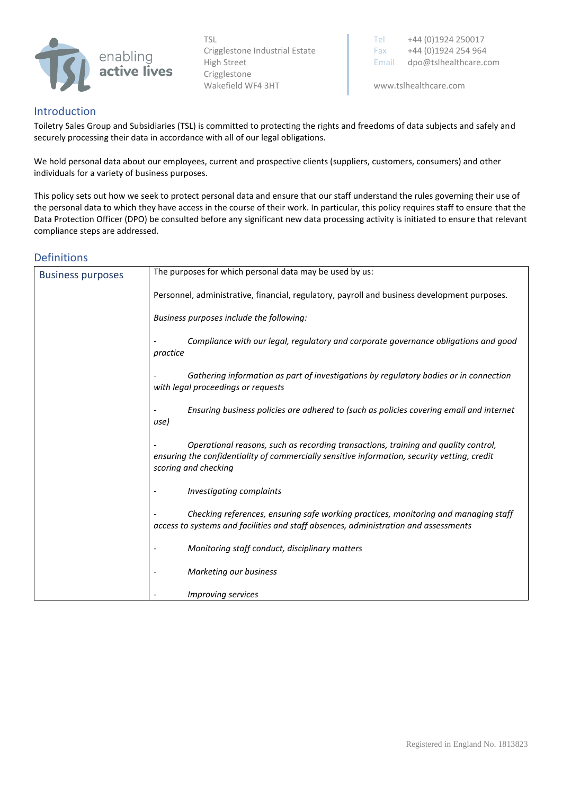

## <span id="page-2-0"></span>Introduction

Toiletry Sales Group and Subsidiaries (TSL) is committed to protecting the rights and freedoms of data subjects and safely and securely processing their data in accordance with all of our legal obligations.

We hold personal data about our employees, current and prospective clients (suppliers, customers, consumers) and other individuals for a variety of business purposes.

This policy sets out how we seek to protect personal data and ensure that our staff understand the rules governing their use of the personal data to which they have access in the course of their work. In particular, this policy requires staff to ensure that the Data Protection Officer (DPO) be consulted before any significant new data processing activity is initiated to ensure that relevant compliance steps are addressed.

## <span id="page-2-1"></span>Definitions

<span id="page-2-2"></span>

| <b>Business purposes</b> | The purposes for which personal data may be used by us:                                                                                                                                                    |  |
|--------------------------|------------------------------------------------------------------------------------------------------------------------------------------------------------------------------------------------------------|--|
|                          | Personnel, administrative, financial, regulatory, payroll and business development purposes.                                                                                                               |  |
|                          | Business purposes include the following:                                                                                                                                                                   |  |
|                          | Compliance with our legal, regulatory and corporate governance obligations and good<br>practice                                                                                                            |  |
|                          | Gathering information as part of investigations by regulatory bodies or in connection<br>with legal proceedings or requests                                                                                |  |
|                          | Ensuring business policies are adhered to (such as policies covering email and internet<br>use)                                                                                                            |  |
|                          | Operational reasons, such as recording transactions, training and quality control,<br>ensuring the confidentiality of commercially sensitive information, security vetting, credit<br>scoring and checking |  |
|                          | Investigating complaints                                                                                                                                                                                   |  |
|                          | Checking references, ensuring safe working practices, monitoring and managing staff<br>access to systems and facilities and staff absences, administration and assessments                                 |  |
|                          | Monitoring staff conduct, disciplinary matters                                                                                                                                                             |  |
|                          | Marketing our business                                                                                                                                                                                     |  |
|                          | <i>Improving services</i>                                                                                                                                                                                  |  |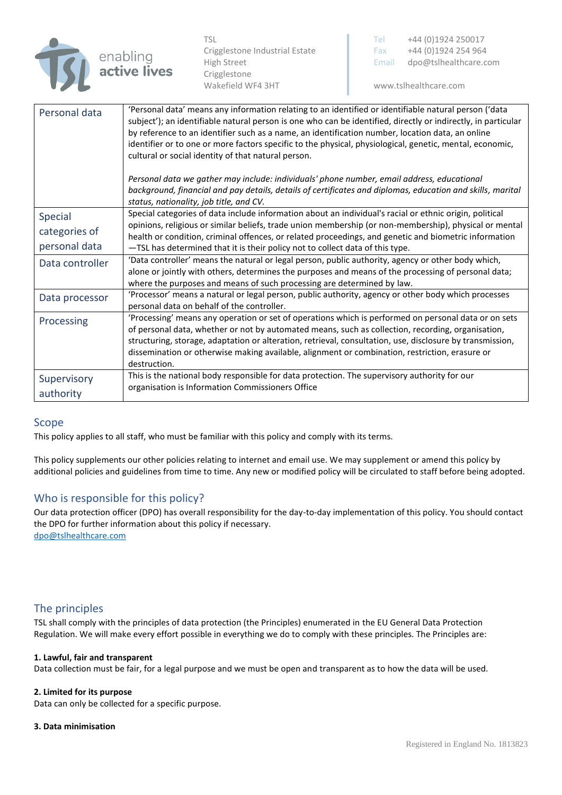

<span id="page-3-2"></span><span id="page-3-1"></span><span id="page-3-0"></span>

| Personal data   | 'Personal data' means any information relating to an identified or identifiable natural person ('data<br>subject'); an identifiable natural person is one who can be identified, directly or indirectly, in particular<br>by reference to an identifier such as a name, an identification number, location data, an online<br>identifier or to one or more factors specific to the physical, physiological, genetic, mental, economic,<br>cultural or social identity of that natural person. |
|-----------------|-----------------------------------------------------------------------------------------------------------------------------------------------------------------------------------------------------------------------------------------------------------------------------------------------------------------------------------------------------------------------------------------------------------------------------------------------------------------------------------------------|
|                 | Personal data we gather may include: individuals' phone number, email address, educational<br>background, financial and pay details, details of certificates and diplomas, education and skills, marital<br>status, nationality, job title, and CV.                                                                                                                                                                                                                                           |
| Special         | Special categories of data include information about an individual's racial or ethnic origin, political                                                                                                                                                                                                                                                                                                                                                                                       |
| categories of   | opinions, religious or similar beliefs, trade union membership (or non-membership), physical or mental<br>health or condition, criminal offences, or related proceedings, and genetic and biometric information                                                                                                                                                                                                                                                                               |
| personal data   | -TSL has determined that it is their policy not to collect data of this type.                                                                                                                                                                                                                                                                                                                                                                                                                 |
| Data controller | 'Data controller' means the natural or legal person, public authority, agency or other body which,<br>alone or jointly with others, determines the purposes and means of the processing of personal data;<br>where the purposes and means of such processing are determined by law.                                                                                                                                                                                                           |
| Data processor  | 'Processor' means a natural or legal person, public authority, agency or other body which processes<br>personal data on behalf of the controller.                                                                                                                                                                                                                                                                                                                                             |
| Processing      | 'Processing' means any operation or set of operations which is performed on personal data or on sets<br>of personal data, whether or not by automated means, such as collection, recording, organisation,<br>structuring, storage, adaptation or alteration, retrieval, consultation, use, disclosure by transmission,<br>dissemination or otherwise making available, alignment or combination, restriction, erasure or<br>destruction.                                                      |
| Supervisory     | This is the national body responsible for data protection. The supervisory authority for our                                                                                                                                                                                                                                                                                                                                                                                                  |
| authority       | organisation is Information Commissioners Office                                                                                                                                                                                                                                                                                                                                                                                                                                              |

#### <span id="page-3-6"></span><span id="page-3-5"></span><span id="page-3-4"></span><span id="page-3-3"></span>Scope

This policy applies to all staff, who must be familiar with this policy and comply with its terms.

This policy supplements our other policies relating to internet and email use. We may supplement or amend this policy by additional policies and guidelines from time to time. Any new or modified policy will be circulated to staff before being adopted.

## <span id="page-3-7"></span>Who is responsible for this policy?

Our data protection officer (DPO) has overall responsibility for the day-to-day implementation of this policy. You should contact the DPO for further information about this policy if necessary. [dpo@tslhealthcare.com](mailto:dpo@tslhealthcare.com)

#### <span id="page-3-8"></span>The principles

TSL shall comply with the principles of data protection (the Principles) enumerated in the EU General Data Protection Regulation. We will make every effort possible in everything we do to comply with these principles. The Principles are:

#### **1. Lawful, fair and transparent**

Data collection must be fair, for a legal purpose and we must be open and transparent as to how the data will be used.

#### **2. Limited for its purpose**

Data can only be collected for a specific purpose.

#### **3. Data minimisation**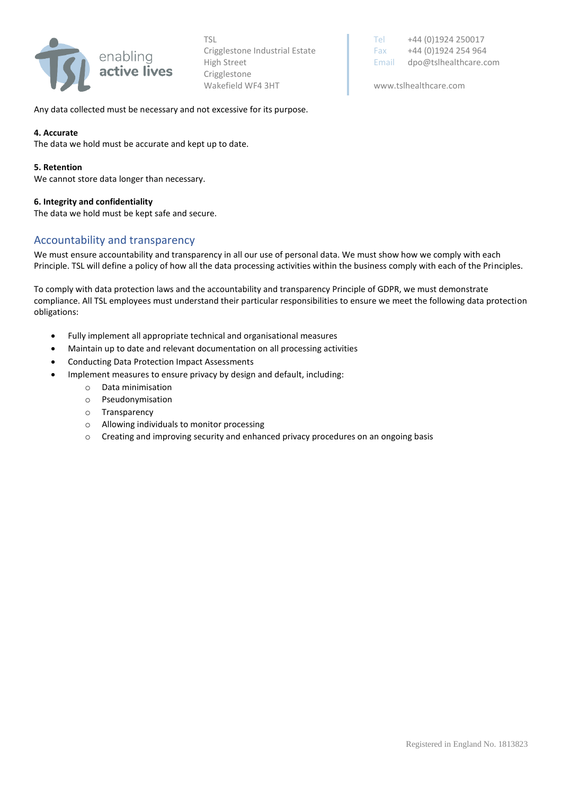

TSL TSL TEL +44 (0) 1924 250017 Crigglestone Industrial Estate Fax  $+44 (0)1924 254 964$ High Street **Email dpo@tslhealthcare.com** 

Any data collected must be necessary and not excessive for its purpose.

#### **4. Accurate**

The data we hold must be accurate and kept up to date.

#### **5. Retention**

We cannot store data longer than necessary.

#### **6. Integrity and confidentiality**

The data we hold must be kept safe and secure.

## <span id="page-4-0"></span>Accountability and transparency

We must ensure accountability and transparency in all our use of personal data. We must show how we comply with each Principle. TSL will define a policy of how all the data processing activities within the business comply with each of the Principles.

To comply with data protection laws and the accountability and transparency Principle of GDPR, we must demonstrate compliance. All TSL employees must understand their particular responsibilities to ensure we meet the following data protection obligations:

- Fully implement all appropriate technical and organisational measures
- Maintain up to date and relevant documentation on all processing activities
- Conducting Data Protection Impact Assessments
- Implement measures to ensure privacy by design and default, including:
	- o Data minimisation
	- o Pseudonymisation
	- o Transparency
	- o Allowing individuals to monitor processing
	- $\circ$  Creating and improving security and enhanced privacy procedures on an ongoing basis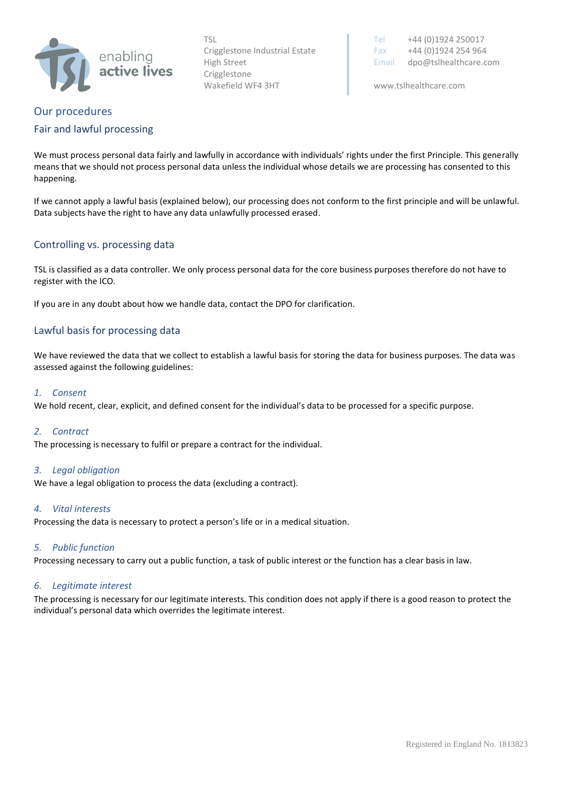

TSL TSL TEL +44 (0) 1924 250017 Crigglestone Industrial Estate Fax  $+44 (0)1924 254 964$ High Street **Email dpo@tslhealthcare.com** 

# <span id="page-5-0"></span>Our procedures

#### <span id="page-5-1"></span>Fair and lawful processing

We must process personal data fairly and lawfully in accordance with individuals' rights under the first Principle. This generally means that we should not process personal data unless the individual whose details we are processing has consented to this happening.

If we cannot apply a lawful basis (explained below), our processing does not conform to the first principle and will be unlawful. Data subjects have the right to have any data unlawfully processed erased.

### <span id="page-5-2"></span>Controlling vs. processing data

TSL is classified as a data controller. We only process personal data for the core business purposes therefore do not have to register with the ICO.

If you are in any doubt about how we handle data, contact the DPO for clarification.

### <span id="page-5-3"></span>Lawful basis for processing data

We have reviewed the data that we collect to establish a lawful basis for storing the data for business purposes. The data was assessed against the following guidelines:

#### *1. Consent*

We hold recent, clear, explicit, and defined consent for the individual's data to be processed for a specific purpose.

#### *2. Contract*

The processing is necessary to fulfil or prepare a contract for the individual.

#### *3. Legal obligation*

We have a legal obligation to process the data (excluding a contract).

#### *4. Vital interests*

Processing the data is necessary to protect a person's life or in a medical situation.

#### *5. Public function*

Processing necessary to carry out a public function, a task of public interest or the function has a clear basis in law.

#### *6. Legitimate interest*

The processing is necessary for our legitimate interests. This condition does not apply if there is a good reason to protect the individual's personal data which overrides the legitimate interest.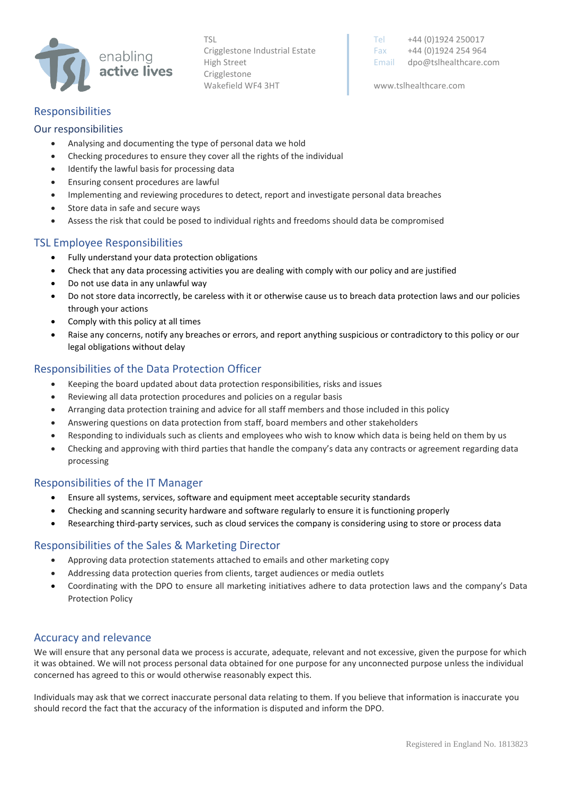

TSL Tel +44 (0)1924 250017 Crigglestone Industrial Estate Fax  $+44 (0)1924 254 964$ High Street **Email dpo@tslhealthcare.com** 

## <span id="page-6-0"></span>Responsibilities

### <span id="page-6-1"></span>Our responsibilities

- Analysing and documenting the type of personal data we hold
- Checking procedures to ensure they cover all the rights of the individual
- Identify the lawful basis for processing data
- Ensuring consent procedures are lawful
- Implementing and reviewing procedures to detect, report and investigate personal data breaches
- Store data in safe and secure ways
- Assess the risk that could be posed to individual rights and freedoms should data be compromised

## <span id="page-6-2"></span>TSL Employee Responsibilities

- Fully understand your data protection obligations
- Check that any data processing activities you are dealing with comply with our policy and are justified
- Do not use data in any unlawful way
- Do not store data incorrectly, be careless with it or otherwise cause us to breach data protection laws and our policies through your actions
- Comply with this policy at all times
- Raise any concerns, notify any breaches or errors, and report anything suspicious or contradictory to this policy or our legal obligations without delay

## <span id="page-6-3"></span>Responsibilities of the Data Protection Officer

- Keeping the board updated about data protection responsibilities, risks and issues
- Reviewing all data protection procedures and policies on a regular basis
- Arranging data protection training and advice for all staff members and those included in this policy
- Answering questions on data protection from staff, board members and other stakeholders
- Responding to individuals such as clients and employees who wish to know which data is being held on them by us
- Checking and approving with third parties that handle the company's data any contracts or agreement regarding data processing

#### <span id="page-6-4"></span>Responsibilities of the IT Manager

- Ensure all systems, services, software and equipment meet acceptable security standards
- Checking and scanning security hardware and software regularly to ensure it is functioning properly
- Researching third-party services, such as cloud services the company is considering using to store or process data

## <span id="page-6-5"></span>Responsibilities of the Sales & Marketing Director

- Approving data protection statements attached to emails and other marketing copy
- Addressing data protection queries from clients, target audiences or media outlets
- Coordinating with the DPO to ensure all marketing initiatives adhere to data protection laws and the company's Data Protection Policy

## <span id="page-6-6"></span>Accuracy and relevance

We will ensure that any personal data we process is accurate, adequate, relevant and not excessive, given the purpose for which it was obtained. We will not process personal data obtained for one purpose for any unconnected purpose unless the individual concerned has agreed to this or would otherwise reasonably expect this.

Individuals may ask that we correct inaccurate personal data relating to them. If you believe that information is inaccurate you should record the fact that the accuracy of the information is disputed and inform the DPO.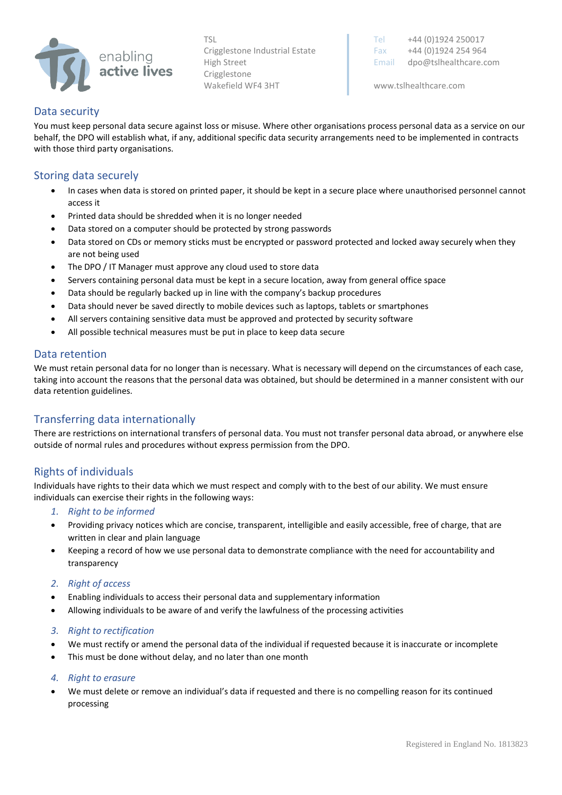

TSL Tel +44 (0)1924 250017 Crigglestone Industrial Estate Fax  $+44 (0)1924 254 964$ High Street **Email dpo@tslhealthcare.com** 

#### <span id="page-7-0"></span>Data security

You must keep personal data secure against loss or misuse. Where other organisations process personal data as a service on our behalf, the DPO will establish what, if any, additional specific data security arrangements need to be implemented in contracts with those third party organisations.

## <span id="page-7-1"></span>Storing data securely

- In cases when data is stored on printed paper, it should be kept in a secure place where unauthorised personnel cannot access it
- Printed data should be shredded when it is no longer needed
- Data stored on a computer should be protected by strong passwords
- Data stored on CDs or memory sticks must be encrypted or password protected and locked away securely when they are not being used
- The DPO / IT Manager must approve any cloud used to store data
- Servers containing personal data must be kept in a secure location, away from general office space
- Data should be regularly backed up in line with the company's backup procedures
- Data should never be saved directly to mobile devices such as laptops, tablets or smartphones
- All servers containing sensitive data must be approved and protected by security software
- All possible technical measures must be put in place to keep data secure

### <span id="page-7-2"></span>Data retention

We must retain personal data for no longer than is necessary. What is necessary will depend on the circumstances of each case, taking into account the reasons that the personal data was obtained, but should be determined in a manner consistent with our data retention guidelines.

## <span id="page-7-3"></span>Transferring data internationally

There are restrictions on international transfers of personal data. You must not transfer personal data abroad, or anywhere else outside of normal rules and procedures without express permission from the DPO.

## <span id="page-7-4"></span>Rights of individuals

Individuals have rights to their data which we must respect and comply with to the best of our ability. We must ensure individuals can exercise their rights in the following ways:

- *1. Right to be informed*
- Providing privacy notices which are concise, transparent, intelligible and easily accessible, free of charge, that are written in clear and plain language
- Keeping a record of how we use personal data to demonstrate compliance with the need for accountability and transparency
- *2. Right of access*
- Enabling individuals to access their personal data and supplementary information
- Allowing individuals to be aware of and verify the lawfulness of the processing activities

#### *3. Right to rectification*

- We must rectify or amend the personal data of the individual if requested because it is inaccurate or incomplete
- This must be done without delay, and no later than one month
- *4. Right to erasure*
- We must delete or remove an individual's data if requested and there is no compelling reason for its continued processing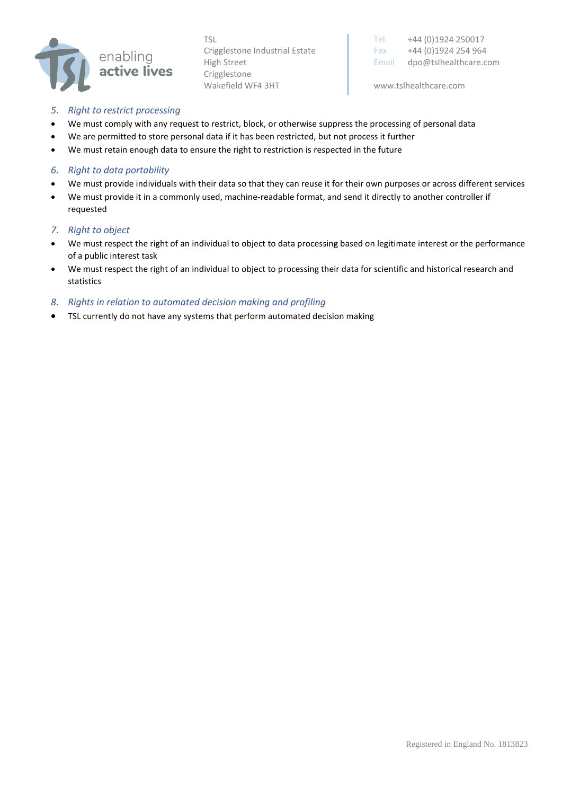

TSL TSL TEL +44 (0) 1924 250017 Crigglestone Industrial Estate Fax +44 (0)1924 254 964 High Street **Email dpo@tslhealthcare.com** 

#### *5. Right to restrict processing*

- We must comply with any request to restrict, block, or otherwise suppress the processing of personal data
- We are permitted to store personal data if it has been restricted, but not process it further
- We must retain enough data to ensure the right to restriction is respected in the future

#### *6. Right to data portability*

- We must provide individuals with their data so that they can reuse it for their own purposes or across different services
- We must provide it in a commonly used, machine-readable format, and send it directly to another controller if requested

#### *7. Right to object*

- We must respect the right of an individual to object to data processing based on legitimate interest or the performance of a public interest task
- We must respect the right of an individual to object to processing their data for scientific and historical research and statistics

#### *8. Rights in relation to automated decision making and profiling*

• TSL currently do not have any systems that perform automated decision making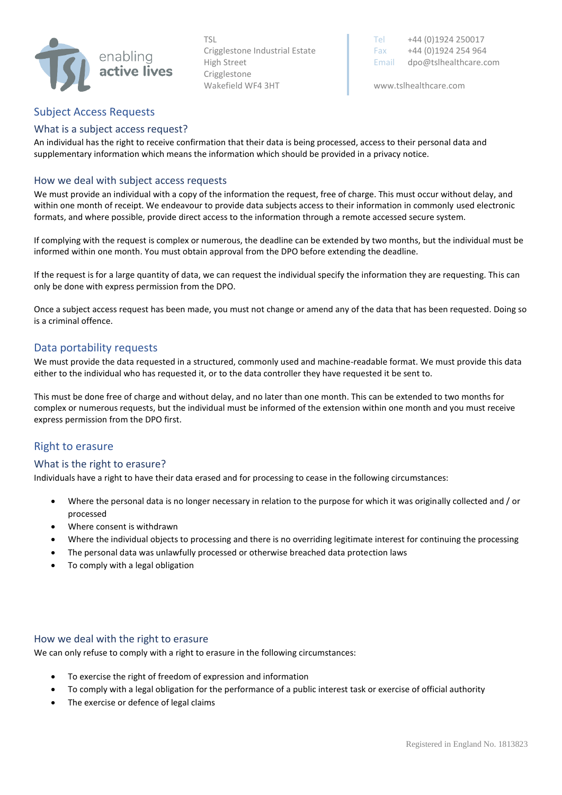

TSL Tel +44 (0)1924 250017 Crigglestone Industrial Estate Fax  $+44 (0)1924 254 964$ High Street **Email dpo@tslhealthcare.com** 

## <span id="page-9-0"></span>Subject Access Requests

#### <span id="page-9-1"></span>What is a subject access request?

An individual has the right to receive confirmation that their data is being processed, access to their personal data and supplementary information which means the information which should be provided in a privacy notice.

### <span id="page-9-2"></span>How we deal with subject access requests

We must provide an individual with a copy of the information the request, free of charge. This must occur without delay, and within one month of receipt. We endeavour to provide data subjects access to their information in commonly used electronic formats, and where possible, provide direct access to the information through a remote accessed secure system.

If complying with the request is complex or numerous, the deadline can be extended by two months, but the individual must be informed within one month. You must obtain approval from the DPO before extending the deadline.

If the request is for a large quantity of data, we can request the individual specify the information they are requesting. This can only be done with express permission from the DPO.

Once a subject access request has been made, you must not change or amend any of the data that has been requested. Doing so is a criminal offence.

## <span id="page-9-3"></span>Data portability requests

We must provide the data requested in a structured, commonly used and machine-readable format. We must provide this data either to the individual who has requested it, or to the data controller they have requested it be sent to.

This must be done free of charge and without delay, and no later than one month. This can be extended to two months for complex or numerous requests, but the individual must be informed of the extension within one month and you must receive express permission from the DPO first.

#### <span id="page-9-4"></span>Right to erasure

#### <span id="page-9-5"></span>What is the right to erasure?

Individuals have a right to have their data erased and for processing to cease in the following circumstances:

- Where the personal data is no longer necessary in relation to the purpose for which it was originally collected and / or processed
- Where consent is withdrawn
- Where the individual objects to processing and there is no overriding legitimate interest for continuing the processing
- The personal data was unlawfully processed or otherwise breached data protection laws
- <span id="page-9-6"></span>To comply with a legal obligation

#### How we deal with the right to erasure

We can only refuse to comply with a right to erasure in the following circumstances:

- To exercise the right of freedom of expression and information
- To comply with a legal obligation for the performance of a public interest task or exercise of official authority
- The exercise or defence of legal claims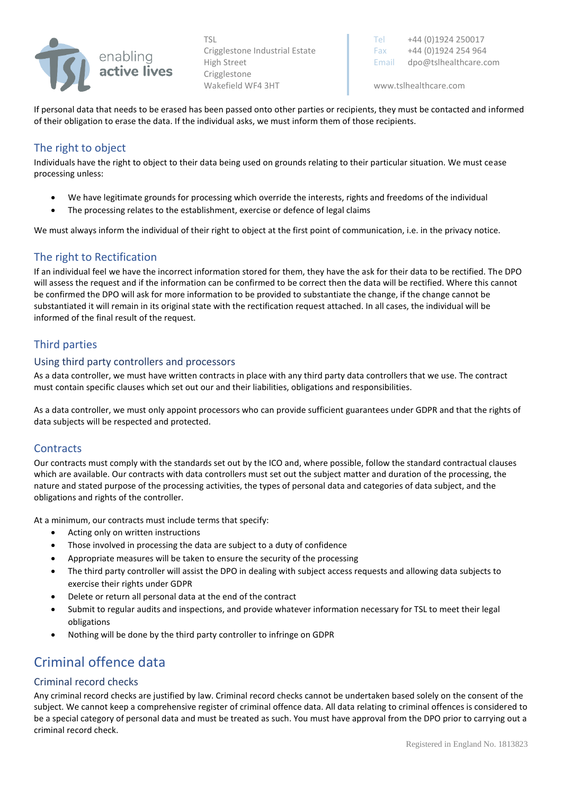

TSL Tel +44 (0)1924 250017 Crigglestone Industrial Estate Fax  $+44 (0)1924 254 964$ High Street **Email dpo@tslhealthcare.com** 

If personal data that needs to be erased has been passed onto other parties or recipients, they must be contacted and informed of their obligation to erase the data. If the individual asks, we must inform them of those recipients.

## <span id="page-10-0"></span>The right to object

Individuals have the right to object to their data being used on grounds relating to their particular situation. We must cease processing unless:

- We have legitimate grounds for processing which override the interests, rights and freedoms of the individual
- The processing relates to the establishment, exercise or defence of legal claims

We must always inform the individual of their right to object at the first point of communication, i.e. in the privacy notice.

## The right to Rectification

If an individual feel we have the incorrect information stored for them, they have the ask for their data to be rectified. The DPO will assess the request and if the information can be confirmed to be correct then the data will be rectified. Where this cannot be confirmed the DPO will ask for more information to be provided to substantiate the change, if the change cannot be substantiated it will remain in its original state with the rectification request attached. In all cases, the individual will be informed of the final result of the request.

## <span id="page-10-1"></span>Third parties

#### <span id="page-10-2"></span>Using third party controllers and processors

As a data controller, we must have written contracts in place with any third party data controllers that we use. The contract must contain specific clauses which set out our and their liabilities, obligations and responsibilities.

As a data controller, we must only appoint processors who can provide sufficient guarantees under GDPR and that the rights of data subjects will be respected and protected.

## <span id="page-10-3"></span>**Contracts**

Our contracts must comply with the standards set out by the ICO and, where possible, follow the standard contractual clauses which are available. Our contracts with data controllers must set out the subject matter and duration of the processing, the nature and stated purpose of the processing activities, the types of personal data and categories of data subject, and the obligations and rights of the controller.

At a minimum, our contracts must include terms that specify:

- Acting only on written instructions
- Those involved in processing the data are subject to a duty of confidence
- Appropriate measures will be taken to ensure the security of the processing
- The third party controller will assist the DPO in dealing with subject access requests and allowing data subjects to exercise their rights under GDPR
- Delete or return all personal data at the end of the contract
- Submit to regular audits and inspections, and provide whatever information necessary for TSL to meet their legal obligations
- Nothing will be done by the third party controller to infringe on GDPR

# <span id="page-10-4"></span>Criminal offence data

#### <span id="page-10-5"></span>Criminal record checks

Any criminal record checks are justified by law. Criminal record checks cannot be undertaken based solely on the consent of the subject. We cannot keep a comprehensive register of criminal offence data. All data relating to criminal offences is considered to be a special category of personal data and must be treated as such. You must have approval from the DPO prior to carrying out a criminal record check.